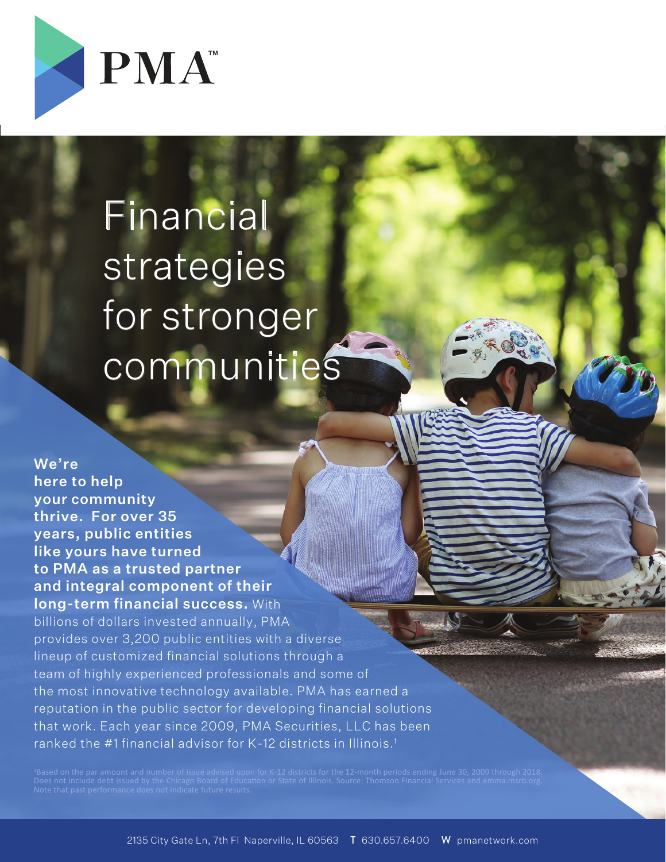

# Financial strategies for stronger communities

We're here to help your community thrive. For over 35 years, public entities like yours have turned to PMA as a trusted partner and integral component of their long-term financial success. With billions of dollars invested annually, PMA provides over 3,200 public entities with a diverse lineup of customized financial solutions through a team of highly experienced professionals and some of the most innovative technology available. PMA has earned a reputation in the public sector for developing financial solutions that work. Each year since 2009, PMA Securities, LLC has been ranked the #1 financial advisor for K-12 districts in Illinois.<sup>1</sup>